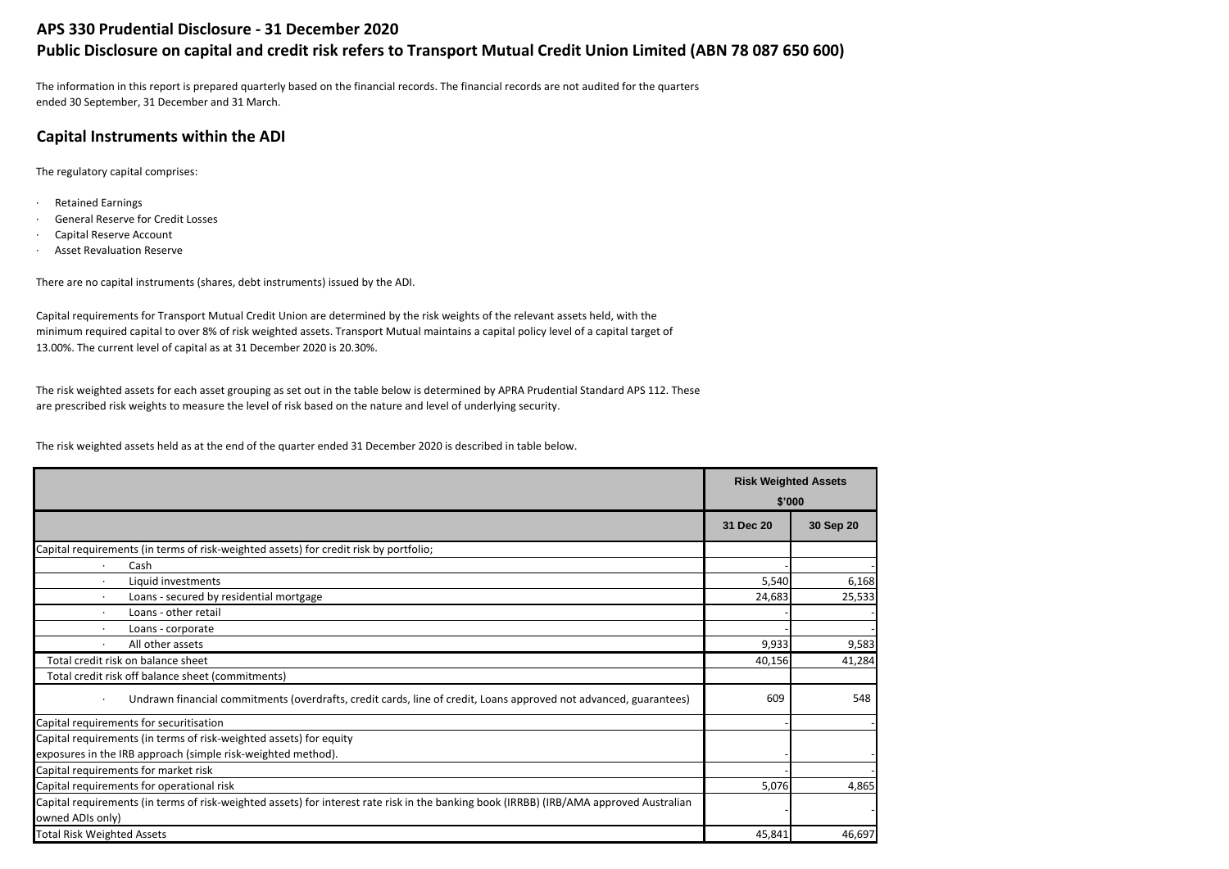## **APS 330 Prudential Disclosure - 31 December 2020**

# **Public Disclosure on capital and credit risk refers to Transport Mutual Credit Union Limited (ABN 78 087 650 600)**

The information in this report is prepared quarterly based on the financial records. The financial records are not audited for the quarters ended 30 September, 31 December and 31 March.

## **Capital Instruments within the ADI**

The regulatory capital comprises:

- · Retained Earnings
- · General Reserve for Credit Losses
- · Capital Reserve Account
- · Asset Revaluation Reserve

There are no capital instruments (shares, debt instruments) issued by the ADI.

Capital requirements for Transport Mutual Credit Union are determined by the risk weights of the relevant assets held, with the minimum required capital to over 8% of risk weighted assets. Transport Mutual maintains a capital policy level of a capital target of 13.00%. The current level of capital as at 31 December 2020 is 20.30%.

The risk weighted assets for each asset grouping as set out in the table below is determined by APRA Prudential Standard APS 112. These are prescribed risk weights to measure the level of risk based on the nature and level of underlying security.

The risk weighted assets held as at the end of the quarter ended 31 December 2020 is described in table below.

|                                                                                                                                         | <b>Risk Weighted Assets</b> |           |
|-----------------------------------------------------------------------------------------------------------------------------------------|-----------------------------|-----------|
|                                                                                                                                         |                             | \$'000    |
|                                                                                                                                         | 31 Dec 20                   | 30 Sep 20 |
| Capital requirements (in terms of risk-weighted assets) for credit risk by portfolio;                                                   |                             |           |
| Cash                                                                                                                                    |                             |           |
| Liquid investments<br>$\cdot$                                                                                                           | 5,540                       | 6,168     |
| Loans - secured by residential mortgage                                                                                                 | 24,683                      | 25,533    |
| Loans - other retail<br>$\cdot$                                                                                                         |                             |           |
| Loans - corporate                                                                                                                       |                             |           |
| All other assets<br>$\cdot$                                                                                                             | 9,933                       | 9,583     |
| Total credit risk on balance sheet                                                                                                      | 40,156                      | 41,284    |
| Total credit risk off balance sheet (commitments)                                                                                       |                             |           |
| Undrawn financial commitments (overdrafts, credit cards, line of credit, Loans approved not advanced, guarantees)<br>$\cdot$            | 609                         | 548       |
| Capital requirements for securitisation                                                                                                 |                             |           |
| Capital requirements (in terms of risk-weighted assets) for equity                                                                      |                             |           |
| exposures in the IRB approach (simple risk-weighted method).                                                                            |                             |           |
| Capital requirements for market risk                                                                                                    |                             |           |
| Capital requirements for operational risk                                                                                               | 5,076                       | 4,865     |
| Capital requirements (in terms of risk-weighted assets) for interest rate risk in the banking book (IRRBB) (IRB/AMA approved Australian |                             |           |
| owned ADIs only)                                                                                                                        |                             |           |
| <b>Total Risk Weighted Assets</b>                                                                                                       | 45,841                      | 46,697    |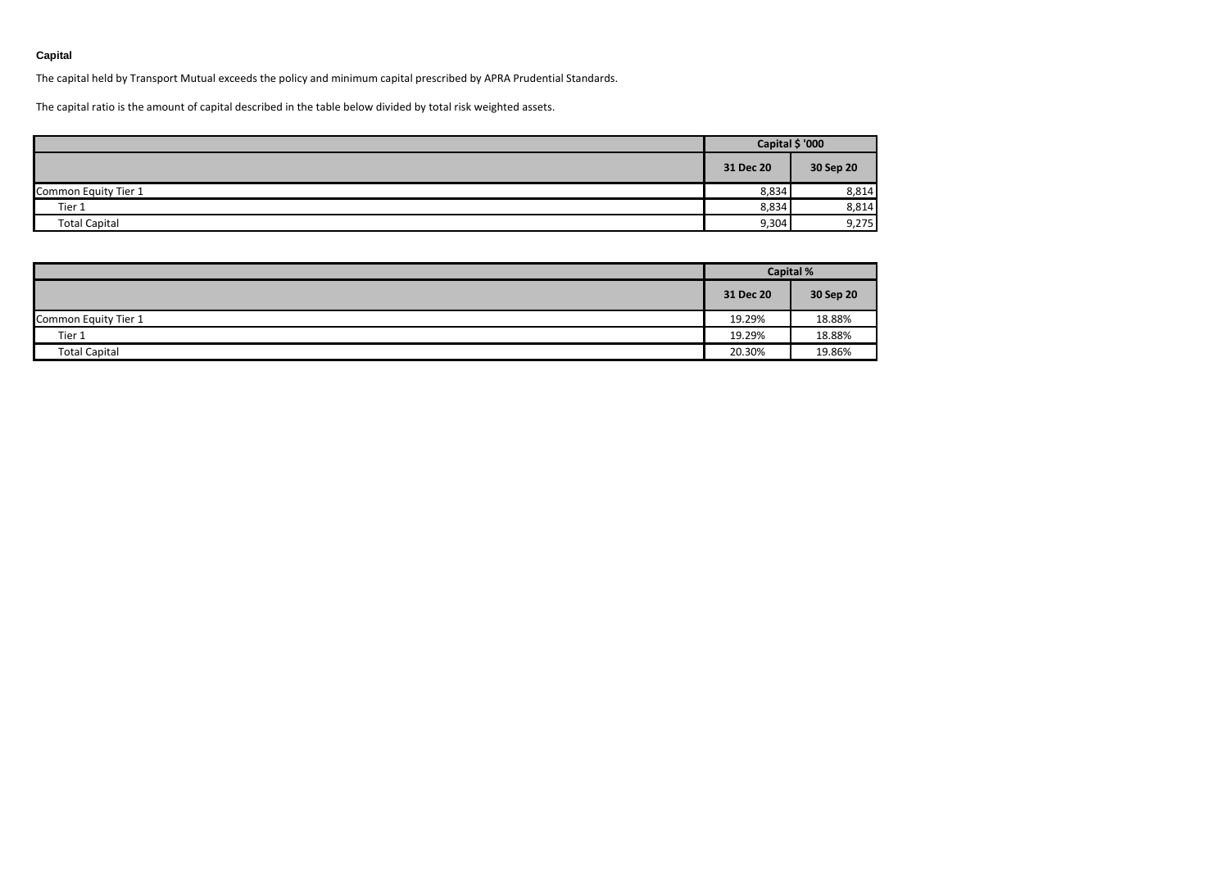### **Capital**

The capital held by Transport Mutual exceeds the policy and minimum capital prescribed by APRA Prudential Standards.

The capital ratio is the amount of capital described in the table below divided by total risk weighted assets.

|                      | Capital \$ '000 |           |
|----------------------|-----------------|-----------|
|                      | 31 Dec 20       | 30 Sep 20 |
| Common Equity Tier 1 | 8,834           | 8,814     |
| Tier 1               | 8,834           | 8,814     |
| <b>Total Capital</b> | 9,304           | 9,275     |

|                      | <b>Capital %</b> |           |  |
|----------------------|------------------|-----------|--|
|                      | 31 Dec 20        | 30 Sep 20 |  |
| Common Equity Tier 1 | 19.29%           | 18.88%    |  |
| Tier 1               | 19.29%           | 18.88%    |  |
| <b>Total Capital</b> | 20.30%           | 19.86%    |  |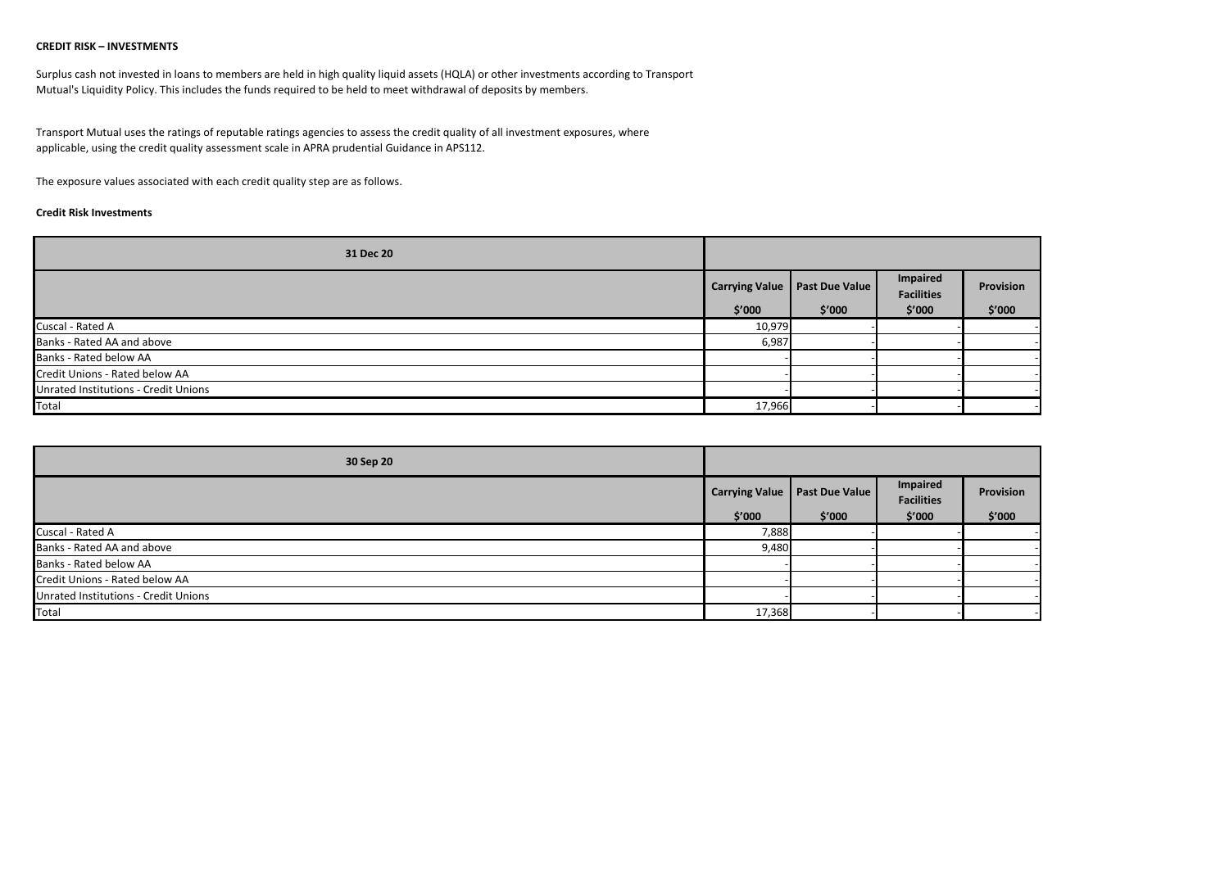#### **CREDIT RISK – INVESTMENTS**

Surplus cash not invested in loans to members are held in high quality liquid assets (HQLA) or other investments according to Transport Mutual's Liquidity Policy. This includes the funds required to be held to meet withdrawal of deposits by members.

Transport Mutual uses the ratings of reputable ratings agencies to assess the credit quality of all investment exposures, where applicable, using the credit quality assessment scale in APRA prudential Guidance in APS112.

The exposure values associated with each credit quality step are as follows.

#### **Credit Risk Investments**

| 31 Dec 20                            |                       |                       |                               |           |
|--------------------------------------|-----------------------|-----------------------|-------------------------------|-----------|
|                                      | <b>Carrying Value</b> | <b>Past Due Value</b> | Impaired<br><b>Facilities</b> | Provision |
|                                      | \$′000                | \$′000                | \$′000                        | \$′000    |
| Cuscal - Rated A                     | 10,979                |                       |                               |           |
| Banks - Rated AA and above           | 6,987                 |                       |                               |           |
| Banks - Rated below AA               |                       |                       |                               |           |
| Credit Unions - Rated below AA       |                       |                       |                               |           |
| Unrated Institutions - Credit Unions |                       |                       |                               |           |
| Total                                | 17,966                |                       |                               |           |

| 30 Sep 20                            |                       |                       |                               |           |
|--------------------------------------|-----------------------|-----------------------|-------------------------------|-----------|
|                                      | <b>Carrying Value</b> | <b>Past Due Value</b> | Impaired<br><b>Facilities</b> | Provision |
|                                      | \$′000                | \$′000                | \$′000                        | \$′000    |
| Cuscal - Rated A                     | 7,888                 |                       |                               |           |
| Banks - Rated AA and above           | 9,480                 |                       |                               |           |
| Banks - Rated below AA               |                       |                       |                               |           |
| Credit Unions - Rated below AA       |                       |                       |                               |           |
| Unrated Institutions - Credit Unions |                       |                       |                               |           |
| Total                                | 17,368                |                       |                               |           |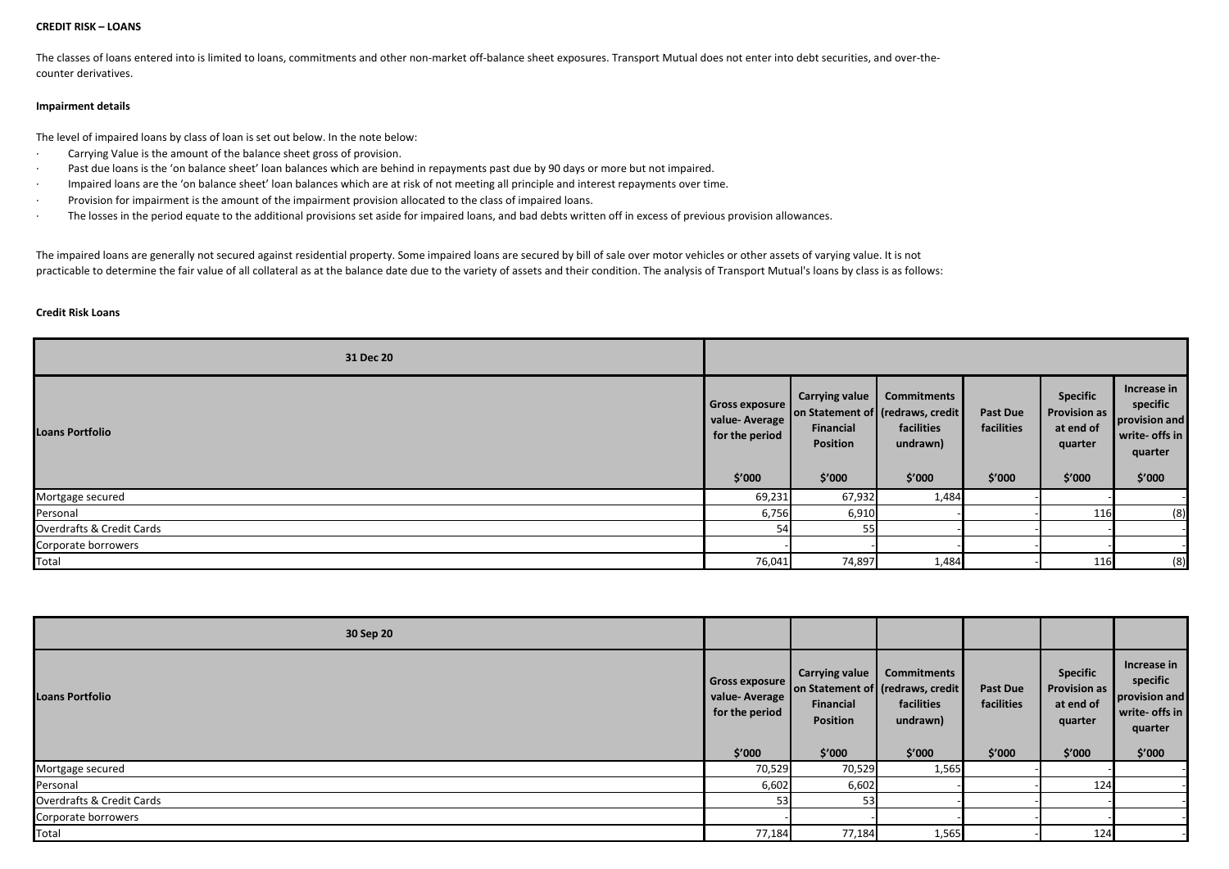#### **CREDIT RISK – LOANS**

The classes of loans entered into is limited to loans, commitments and other non-market off-balance sheet exposures. Transport Mutual does not enter into debt securities, and over-thecounter derivatives.

#### **Impairment details**

The level of impaired loans by class of loan is set out below. In the note below:

- · Carrying Value is the amount of the balance sheet gross of provision.
- · Past due loans is the 'on balance sheet' loan balances which are behind in repayments past due by 90 days or more but not impaired.
- · Impaired loans are the 'on balance sheet' loan balances which are at risk of not meeting all principle and interest repayments over time.
- · Provision for impairment is the amount of the impairment provision allocated to the class of impaired loans.
- · The losses in the period equate to the additional provisions set aside for impaired loans, and bad debts written off in excess of previous provision allowances.

The impaired loans are generally not secured against residential property. Some impaired loans are secured by bill of sale over motor vehicles or other assets of varying value. It is not practicable to determine the fair value of all collateral as at the balance date due to the variety of assets and their condition. The analysis of Transport Mutual's loans by class is as follows:

#### **Credit Risk Loans**

| 31 Dec 20                 |                                                             |                                                                             |                                                                  |                                         |                                                                          |                                                                                 |
|---------------------------|-------------------------------------------------------------|-----------------------------------------------------------------------------|------------------------------------------------------------------|-----------------------------------------|--------------------------------------------------------------------------|---------------------------------------------------------------------------------|
| <b>Loans Portfolio</b>    | Gross exposure<br>value-Average<br>for the period<br>\$′000 | on Statement of (redraws, credit)<br>Financial<br><b>Position</b><br>\$′000 | Carrying value   Commitments<br>facilities<br>undrawn)<br>\$′000 | <b>Past Due</b><br>facilities<br>\$'000 | <b>Specific</b><br><b>Provision as</b><br>at end of<br>quarter<br>\$'000 | Increase in<br>specific<br>provision and<br>write- offs in<br>quarter<br>\$'000 |
| Mortgage secured          | 69,231                                                      | 67,932                                                                      | 1,484                                                            |                                         |                                                                          |                                                                                 |
| Personal                  | 6,756                                                       | 6,910                                                                       |                                                                  |                                         | 116                                                                      | (8)                                                                             |
| Overdrafts & Credit Cards | 54                                                          | 55                                                                          |                                                                  |                                         |                                                                          |                                                                                 |
| Corporate borrowers       |                                                             |                                                                             |                                                                  |                                         |                                                                          |                                                                                 |
| Total                     | 76,041                                                      | 74,897                                                                      | 1,484                                                            |                                         | 116                                                                      | (8)                                                                             |

| 30 Sep 20                 |                                                                    |                                                                                                      |                                                        |                                  |                                                                          |                                                                                 |
|---------------------------|--------------------------------------------------------------------|------------------------------------------------------------------------------------------------------|--------------------------------------------------------|----------------------------------|--------------------------------------------------------------------------|---------------------------------------------------------------------------------|
| <b>Loans Portfolio</b>    | <b>Gross exposure</b><br>value-Average<br>for the period<br>\$'000 | <b>Carrying value</b><br>on Statement of (redraws, credit)<br>Financial<br><b>Position</b><br>\$′000 | <b>Commitments</b><br>facilities<br>undrawn)<br>\$′000 | Past Due<br>facilities<br>\$′000 | <b>Specific</b><br><b>Provision as</b><br>at end of<br>quarter<br>\$′000 | Increase in<br>specific<br>provision and<br>write- offs in<br>quarter<br>\$′000 |
| Mortgage secured          | 70,529                                                             | 70,529                                                                                               | 1,565                                                  |                                  |                                                                          |                                                                                 |
| Personal                  | 6,602                                                              | 6,602                                                                                                |                                                        |                                  | 124                                                                      |                                                                                 |
| Overdrafts & Credit Cards | 53                                                                 | 53                                                                                                   |                                                        |                                  |                                                                          |                                                                                 |
| Corporate borrowers       |                                                                    |                                                                                                      |                                                        |                                  |                                                                          |                                                                                 |
| Total                     | 77,184                                                             | 77,184                                                                                               | 1,565                                                  |                                  | 124                                                                      |                                                                                 |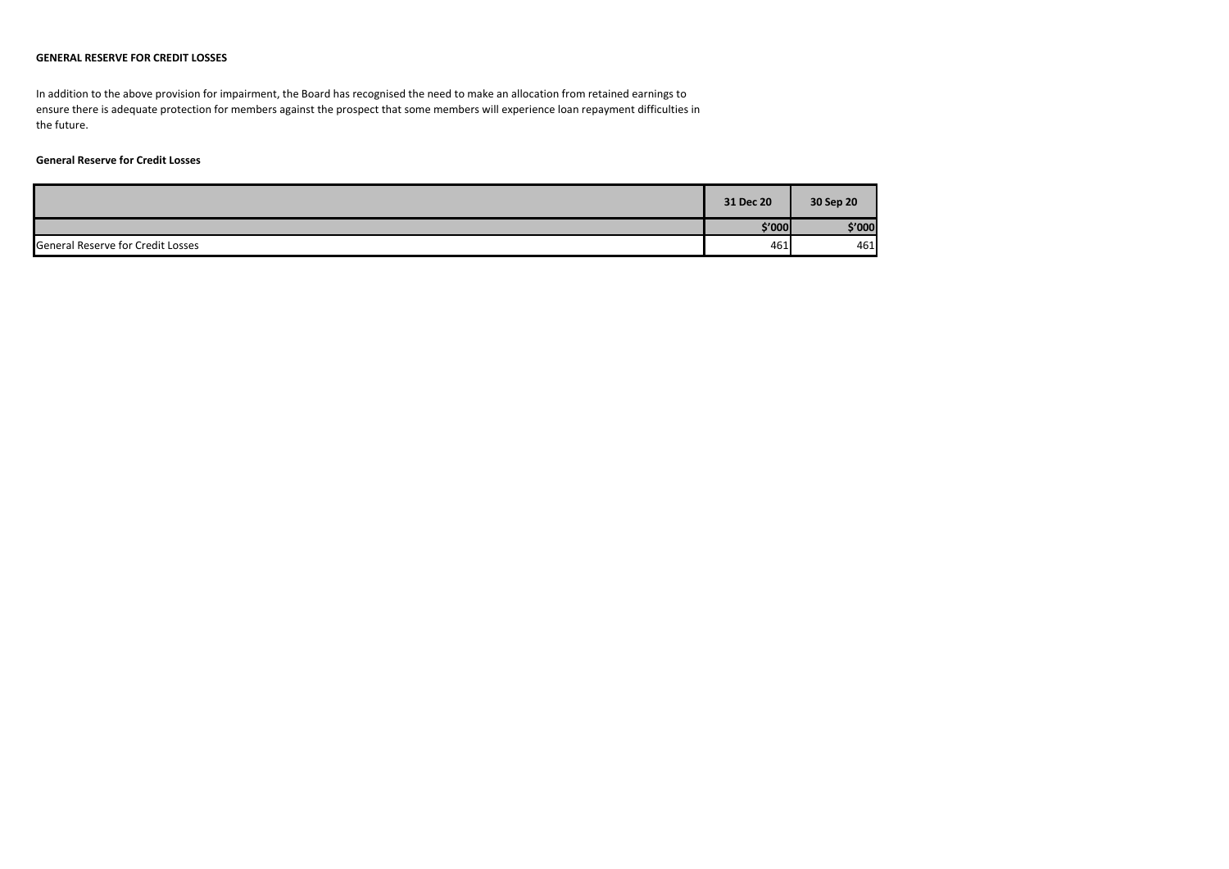#### **GENERAL RESERVE FOR CREDIT LOSSES**

In addition to the above provision for impairment, the Board has recognised the need to make an allocation from retained earnings to ensure there is adequate protection for members against the prospect that some members will experience loan repayment difficulties in the future.

### **General Reserve for Credit Losses**

|                                          | 31 Dec 20 | 30 Sep 20 |
|------------------------------------------|-----------|-----------|
|                                          | \$'000    | \$'000    |
| <b>General Reserve for Credit Losses</b> | 461       | 461       |